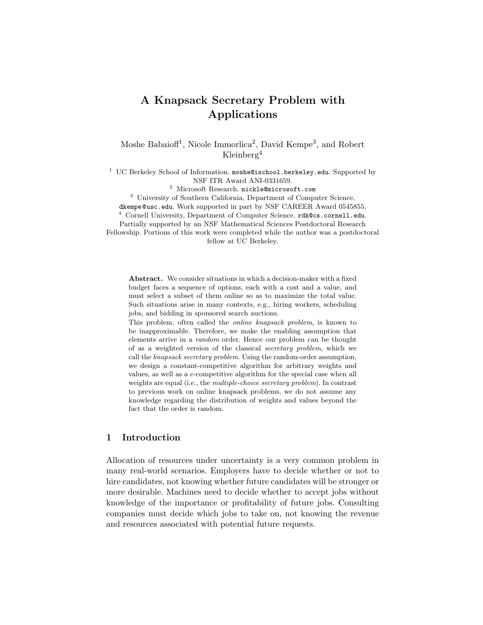# A Knapsack Secretary Problem with Applications

Moshe Babaioff<sup>1</sup>, Nicole Immorlica<sup>2</sup>, David Kempe<sup>3</sup>, and Robert Kleinberg<sup>4</sup>

<sup>1</sup> UC Berkeley School of Information. moshe@ischool.berkeley.edu. Supported by NSF ITR Award ANI-0331659.

<sup>2</sup> Microsoft Research. nickle@microsoft.com

<sup>3</sup> University of Southern California, Department of Computer Science.

dkempe@usc.edu. Work supported in part by NSF CAREER Award 0545855.

Cornell University, Department of Computer Science. rdk@cs.cornell.edu.

Partially supported by an NSF Mathematical Sciences Postdoctoral Research

Fellowship. Portions of this work were completed while the author was a postdoctoral fellow at UC Berkeley.

Abstract. We consider situations in which a decision-maker with a fixed budget faces a sequence of options, each with a cost and a value, and must select a subset of them online so as to maximize the total value. Such situations arise in many contexts, e.g., hiring workers, scheduling jobs, and bidding in sponsored search auctions.

This problem, often called the online knapsack problem, is known to be inapproximable. Therefore, we make the enabling assumption that elements arrive in a random order. Hence our problem can be thought of as a weighted version of the classical secretary problem, which we call the knapsack secretary problem. Using the random-order assumption, we design a constant-competitive algorithm for arbitrary weights and values, as well as a e-competitive algorithm for the special case when all weights are equal (i.e., the *multiple-choice secretary problem*). In contrast to previous work on online knapsack problems, we do not assume any knowledge regarding the distribution of weights and values beyond the fact that the order is random.

# 1 Introduction

Allocation of resources under uncertainty is a very common problem in many real-world scenarios. Employers have to decide whether or not to hire candidates, not knowing whether future candidates will be stronger or more desirable. Machines need to decide whether to accept jobs without knowledge of the importance or profitability of future jobs. Consulting companies must decide which jobs to take on, not knowing the revenue and resources associated with potential future requests.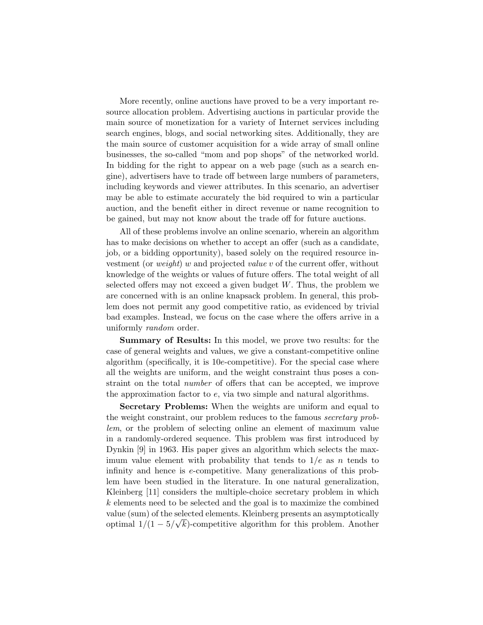More recently, online auctions have proved to be a very important resource allocation problem. Advertising auctions in particular provide the main source of monetization for a variety of Internet services including search engines, blogs, and social networking sites. Additionally, they are the main source of customer acquisition for a wide array of small online businesses, the so-called "mom and pop shops" of the networked world. In bidding for the right to appear on a web page (such as a search engine), advertisers have to trade off between large numbers of parameters, including keywords and viewer attributes. In this scenario, an advertiser may be able to estimate accurately the bid required to win a particular auction, and the benefit either in direct revenue or name recognition to be gained, but may not know about the trade off for future auctions.

All of these problems involve an online scenario, wherein an algorithm has to make decisions on whether to accept an offer (such as a candidate, job, or a bidding opportunity), based solely on the required resource investment (or weight) w and projected value v of the current offer, without knowledge of the weights or values of future offers. The total weight of all selected offers may not exceed a given budget  $W$ . Thus, the problem we are concerned with is an online knapsack problem. In general, this problem does not permit any good competitive ratio, as evidenced by trivial bad examples. Instead, we focus on the case where the offers arrive in a uniformly *random* order.

Summary of Results: In this model, we prove two results: for the case of general weights and values, we give a constant-competitive online algorithm (specifically, it is 10e-competitive). For the special case where all the weights are uniform, and the weight constraint thus poses a constraint on the total number of offers that can be accepted, we improve the approximation factor to e, via two simple and natural algorithms.

Secretary Problems: When the weights are uniform and equal to the weight constraint, our problem reduces to the famous secretary problem, or the problem of selecting online an element of maximum value in a randomly-ordered sequence. This problem was first introduced by Dynkin [9] in 1963. His paper gives an algorithm which selects the maximum value element with probability that tends to  $1/e$  as n tends to infinity and hence is e-competitive. Many generalizations of this problem have been studied in the literature. In one natural generalization, Kleinberg [11] considers the multiple-choice secretary problem in which k elements need to be selected and the goal is to maximize the combined value (sum) of the selected elements. Kleinberg presents an asymptotically optimal  $1/(1 - 5/\sqrt{k})$ -competitive algorithm for this problem. Another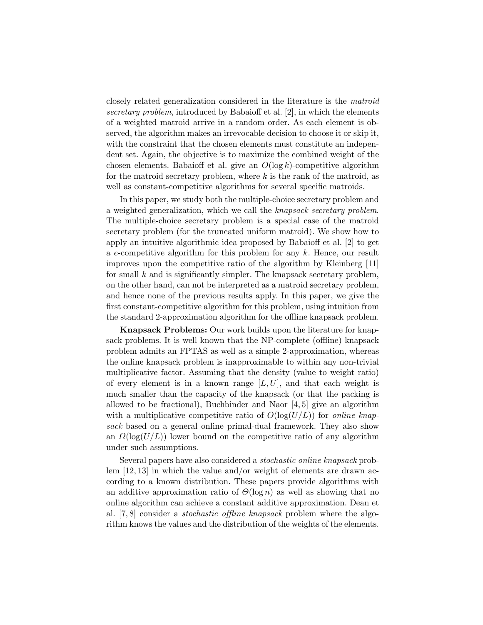closely related generalization considered in the literature is the matroid secretary problem, introduced by Babaioff et al. [2], in which the elements of a weighted matroid arrive in a random order. As each element is observed, the algorithm makes an irrevocable decision to choose it or skip it, with the constraint that the chosen elements must constitute an independent set. Again, the objective is to maximize the combined weight of the chosen elements. Babaioff et al. give an  $O(\log k)$ -competitive algorithm for the matroid secretary problem, where  $k$  is the rank of the matroid, as well as constant-competitive algorithms for several specific matroids.

In this paper, we study both the multiple-choice secretary problem and a weighted generalization, which we call the knapsack secretary problem. The multiple-choice secretary problem is a special case of the matroid secretary problem (for the truncated uniform matroid). We show how to apply an intuitive algorithmic idea proposed by Babaioff et al. [2] to get a e-competitive algorithm for this problem for any k. Hence, our result improves upon the competitive ratio of the algorithm by Kleinberg [11] for small  $k$  and is significantly simpler. The knapsack secretary problem, on the other hand, can not be interpreted as a matroid secretary problem, and hence none of the previous results apply. In this paper, we give the first constant-competitive algorithm for this problem, using intuition from the standard 2-approximation algorithm for the offline knapsack problem.

Knapsack Problems: Our work builds upon the literature for knapsack problems. It is well known that the NP-complete (offline) knapsack problem admits an FPTAS as well as a simple 2-approximation, whereas the online knapsack problem is inapproximable to within any non-trivial multiplicative factor. Assuming that the density (value to weight ratio) of every element is in a known range  $[L, U]$ , and that each weight is much smaller than the capacity of the knapsack (or that the packing is allowed to be fractional), Buchbinder and Naor [4, 5] give an algorithm with a multiplicative competitive ratio of  $O(log(U/L))$  for *online knap*sack based on a general online primal-dual framework. They also show an  $\Omega(\log(U/L))$  lower bound on the competitive ratio of any algorithm under such assumptions.

Several papers have also considered a stochastic online knapsack problem [12, 13] in which the value and/or weight of elements are drawn according to a known distribution. These papers provide algorithms with an additive approximation ratio of  $\Theta(\log n)$  as well as showing that no online algorithm can achieve a constant additive approximation. Dean et al. [7, 8] consider a stochastic offline knapsack problem where the algorithm knows the values and the distribution of the weights of the elements.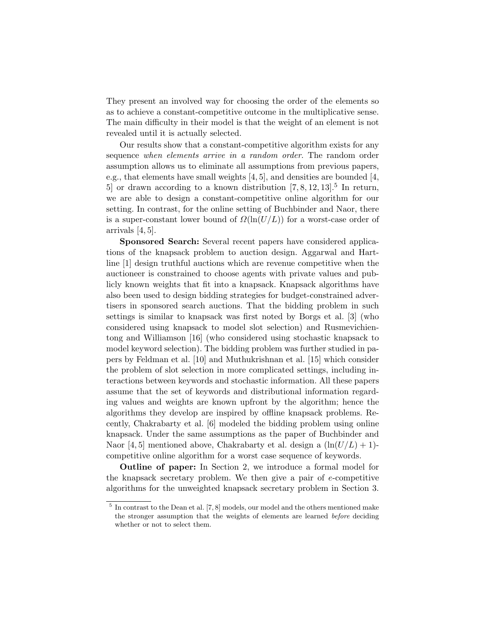They present an involved way for choosing the order of the elements so as to achieve a constant-competitive outcome in the multiplicative sense. The main difficulty in their model is that the weight of an element is not revealed until it is actually selected.

Our results show that a constant-competitive algorithm exists for any sequence when elements arrive in a random order. The random order assumption allows us to eliminate all assumptions from previous papers, e.g., that elements have small weights [4, 5], and densities are bounded [4, 5] or drawn according to a known distribution  $[7, 8, 12, 13]$ <sup>5</sup> In return, we are able to design a constant-competitive online algorithm for our setting. In contrast, for the online setting of Buchbinder and Naor, there is a super-constant lower bound of  $\Omega(\ln(U/L))$  for a worst-case order of arrivals [4, 5].

Sponsored Search: Several recent papers have considered applications of the knapsack problem to auction design. Aggarwal and Hartline [1] design truthful auctions which are revenue competitive when the auctioneer is constrained to choose agents with private values and publicly known weights that fit into a knapsack. Knapsack algorithms have also been used to design bidding strategies for budget-constrained advertisers in sponsored search auctions. That the bidding problem in such settings is similar to knapsack was first noted by Borgs et al. [3] (who considered using knapsack to model slot selection) and Rusmevichientong and Williamson [16] (who considered using stochastic knapsack to model keyword selection). The bidding problem was further studied in papers by Feldman et al. [10] and Muthukrishnan et al. [15] which consider the problem of slot selection in more complicated settings, including interactions between keywords and stochastic information. All these papers assume that the set of keywords and distributional information regarding values and weights are known upfront by the algorithm; hence the algorithms they develop are inspired by offline knapsack problems. Recently, Chakrabarty et al. [6] modeled the bidding problem using online knapsack. Under the same assumptions as the paper of Buchbinder and Naor [4, 5] mentioned above, Chakrabarty et al. design a  $(\ln(U/L) + 1)$ competitive online algorithm for a worst case sequence of keywords.

Outline of paper: In Section 2, we introduce a formal model for the knapsack secretary problem. We then give a pair of e-competitive algorithms for the unweighted knapsack secretary problem in Section 3.

 $5$  In contrast to the Dean et al.  $[7, 8]$  models, our model and the others mentioned make the stronger assumption that the weights of elements are learned before deciding whether or not to select them.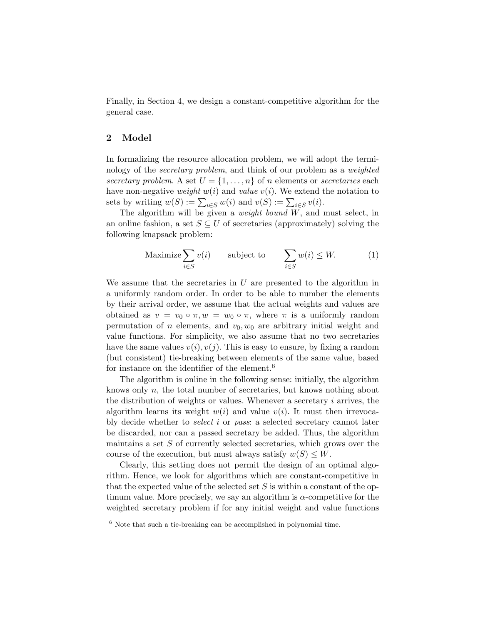Finally, in Section 4, we design a constant-competitive algorithm for the general case.

# 2 Model

In formalizing the resource allocation problem, we will adopt the terminology of the secretary problem, and think of our problem as a weighted secretary problem. A set  $U = \{1, \ldots, n\}$  of n elements or secretaries each have non-negative *weight*  $w(i)$  and *value*  $v(i)$ . We extend the notation to sets by writing  $w(S) := \sum_{i \in S} w(i)$  and  $v(S) := \sum_{i \in S} v(i)$ .

The algorithm will be given a weight bound W, and must select, in an online fashion, a set  $S \subseteq U$  of secretaries (approximately) solving the following knapsack problem:

$$
\text{Maximize} \sum_{i \in S} v(i) \qquad \text{subject to} \qquad \sum_{i \in S} w(i) \le W. \tag{1}
$$

We assume that the secretaries in  $U$  are presented to the algorithm in a uniformly random order. In order to be able to number the elements by their arrival order, we assume that the actual weights and values are obtained as  $v = v_0 \circ \pi, w = w_0 \circ \pi$ , where  $\pi$  is a uniformly random permutation of n elements, and  $v_0, w_0$  are arbitrary initial weight and value functions. For simplicity, we also assume that no two secretaries have the same values  $v(i), v(j)$ . This is easy to ensure, by fixing a random (but consistent) tie-breaking between elements of the same value, based for instance on the identifier of the element.<sup>6</sup>

The algorithm is online in the following sense: initially, the algorithm knows only n, the total number of secretaries, but knows nothing about the distribution of weights or values. Whenever a secretary i arrives, the algorithm learns its weight  $w(i)$  and value  $v(i)$ . It must then irrevocably decide whether to select i or pass: a selected secretary cannot later be discarded, nor can a passed secretary be added. Thus, the algorithm maintains a set S of currently selected secretaries, which grows over the course of the execution, but must always satisfy  $w(S) \leq W$ .

Clearly, this setting does not permit the design of an optimal algorithm. Hence, we look for algorithms which are constant-competitive in that the expected value of the selected set  $S$  is within a constant of the optimum value. More precisely, we say an algorithm is  $\alpha$ -competitive for the weighted secretary problem if for any initial weight and value functions

 $6$  Note that such a tie-breaking can be accomplished in polynomial time.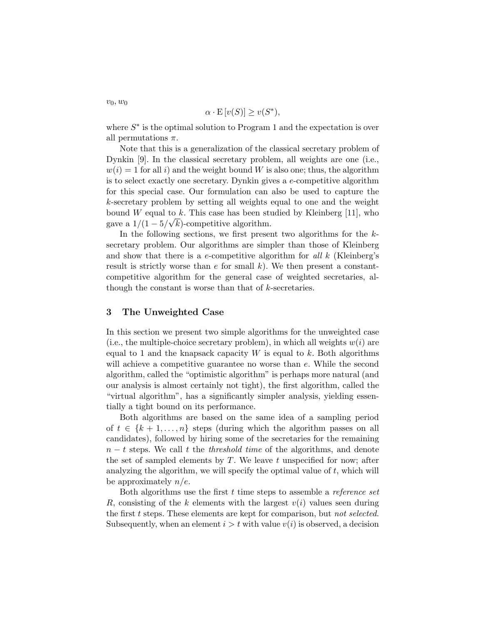$v_0, w_0$ 

$$
\alpha \cdot \mathbb{E}\left[v(S)\right] \ge v(S^*),
$$

where  $S^*$  is the optimal solution to Program 1 and the expectation is over all permutations  $\pi$ .

Note that this is a generalization of the classical secretary problem of Dynkin [9]. In the classical secretary problem, all weights are one (i.e.,  $w(i) = 1$  for all i) and the weight bound W is also one; thus, the algorithm is to select exactly one secretary. Dynkin gives a e-competitive algorithm for this special case. Our formulation can also be used to capture the k-secretary problem by setting all weights equal to one and the weight bound W equal to  $k$ . This case has been studied by Kleinberg [11], who gave a  $1/(1-5/\sqrt{k})$ -competitive algorithm.

In the following sections, we first present two algorithms for the  $k$ secretary problem. Our algorithms are simpler than those of Kleinberg and show that there is a e-competitive algorithm for all  $k$  (Kleinberg's result is strictly worse than  $e$  for small  $k$ ). We then present a constantcompetitive algorithm for the general case of weighted secretaries, although the constant is worse than that of k-secretaries.

# 3 The Unweighted Case

In this section we present two simple algorithms for the unweighted case (i.e., the multiple-choice secretary problem), in which all weights  $w(i)$  are equal to 1 and the knapsack capacity  $W$  is equal to  $k$ . Both algorithms will achieve a competitive guarantee no worse than  $e$ . While the second algorithm, called the "optimistic algorithm" is perhaps more natural (and our analysis is almost certainly not tight), the first algorithm, called the "virtual algorithm", has a significantly simpler analysis, yielding essentially a tight bound on its performance.

Both algorithms are based on the same idea of a sampling period of  $t \in \{k+1,\ldots,n\}$  steps (during which the algorithm passes on all candidates), followed by hiring some of the secretaries for the remaining  $n - t$  steps. We call t the threshold time of the algorithms, and denote the set of sampled elements by  $T$ . We leave  $t$  unspecified for now; after analyzing the algorithm, we will specify the optimal value of  $t$ , which will be approximately  $n/e$ .

Both algorithms use the first t time steps to assemble a reference set R, consisting of the k elements with the largest  $v(i)$  values seen during the first t steps. These elements are kept for comparison, but not selected. Subsequently, when an element  $i > t$  with value  $v(i)$  is observed, a decision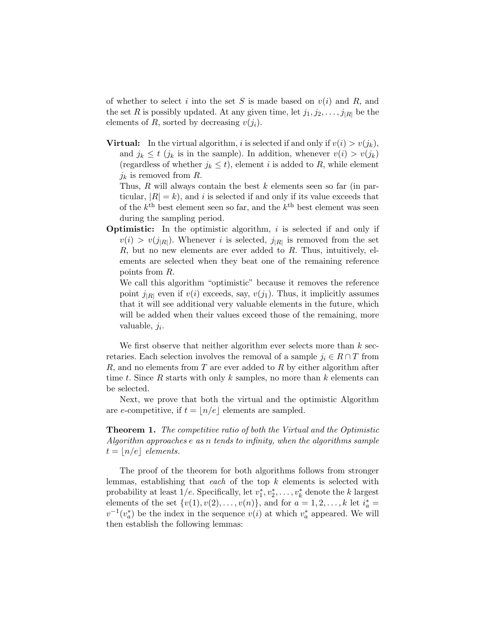of whether to select i into the set S is made based on  $v(i)$  and R, and the set R is possibly updated. At any given time, let  $j_1, j_2, \ldots, j_{|R|}$  be the elements of R, sorted by decreasing  $v(j_i)$ .

**Virtual:** In the virtual algorithm, i is selected if and only if  $v(i) > v(j_k)$ , and  $j_k \leq t$  ( $j_k$  is in the sample). In addition, whenever  $v(i) > v(j_k)$ (regardless of whether  $j_k \leq t$ ), element i is added to R, while element  $j_k$  is removed from R.

Thus,  $R$  will always contain the best  $k$  elements seen so far (in particular,  $|R| = k$ , and i is selected if and only if its value exceeds that of the  $k^{\text{th}}$  best element seen so far, and the  $k^{\text{th}}$  best element was seen during the sampling period.

**Optimistic:** In the optimistic algorithm,  $i$  is selected if and only if  $v(i) > v(j_{|R|})$ . Whenever i is selected,  $j_{|R|}$  is removed from the set R, but no new elements are ever added to R. Thus, intuitively, elements are selected when they beat one of the remaining reference points from R.

We call this algorithm "optimistic" because it removes the reference point  $j_{|R|}$  even if  $v(i)$  exceeds, say,  $v(j_1)$ . Thus, it implicitly assumes that it will see additional very valuable elements in the future, which will be added when their values exceed those of the remaining, more  $value, j_i.$ 

We first observe that neither algorithm ever selects more than  $k$  secretaries. Each selection involves the removal of a sample  $j_i \in R \cap T$  from  $R$ , and no elements from  $T$  are ever added to  $R$  by either algorithm after time t. Since R starts with only k samples, no more than  $k$  elements can be selected.

Next, we prove that both the virtual and the optimistic Algorithm are e-competitive, if  $t = |n/e|$  elements are sampled.

Theorem 1. The competitive ratio of both the Virtual and the Optimistic Algorithm approaches e as n tends to infinity, when the algorithms sample  $t = |n/e|$  elements.

The proof of the theorem for both algorithms follows from stronger lemmas, establishing that each of the top  $k$  elements is selected with probability at least  $1/e$ . Specifically, let  $v_1^*, v_2^*, \ldots, v_k^*$  denote the k largest elements of the set  $\{v(1), v(2), \ldots, v(n)\}\)$ , and for  $a = 1, 2, \ldots, k$  let  $i_a^* =$  $v^{-1}(v_a^*)$  be the index in the sequence  $v(i)$  at which  $v_a^*$  appeared. We will then establish the following lemmas: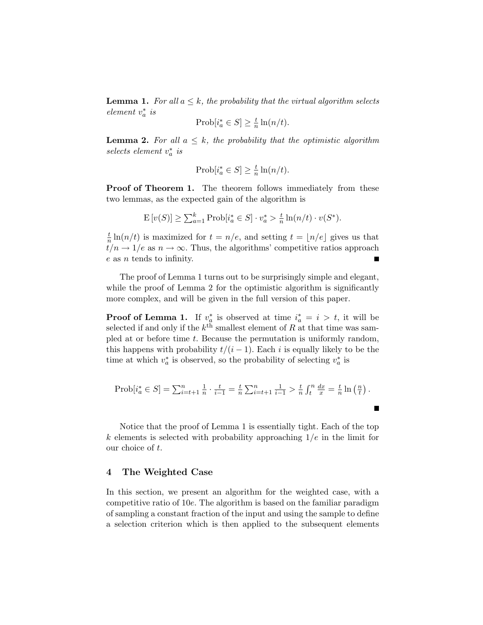**Lemma 1.** For all  $a \leq k$ , the probability that the virtual algorithm selects element  $v_a^*$  is

$$
Prob[i_a^* \in S] \ge \frac{t}{n} \ln(n/t).
$$

**Lemma 2.** For all  $a \leq k$ , the probability that the optimistic algorithm  $\emph{selects element } v_a^* \emph{ is}$ 

$$
Prob[i_a^* \in S] \ge \frac{t}{n} \ln(n/t).
$$

Proof of Theorem 1. The theorem follows immediately from these two lemmas, as the expected gain of the algorithm is

$$
\mathcal{E}\left[v(S)\right] \ge \sum_{a=1}^k \text{Prob}[i_a^* \in S] \cdot v_a^* > \frac{t}{n} \ln(n/t) \cdot v(S^*).
$$

t  $\frac{t}{n}\ln(n/t)$  is maximized for  $t = n/e$ , and setting  $t = \lfloor n/e \rfloor$  gives us that  $t/n \to 1/e$  as  $n \to \infty$ . Thus, the algorithms' competitive ratios approach e as n tends to infinity. ■

The proof of Lemma 1 turns out to be surprisingly simple and elegant, while the proof of Lemma 2 for the optimistic algorithm is significantly more complex, and will be given in the full version of this paper.

**Proof of Lemma 1.** If  $v_a^*$  is observed at time  $i_a^* = i > t$ , it will be selected if and only if the  $k^{\text{th}}$  smallest element of R at that time was sampled at or before time t. Because the permutation is uniformly random, this happens with probability  $t/(i-1)$ . Each i is equally likely to be the time at which  $v_a^*$  is observed, so the probability of selecting  $v_a^*$  is

$$
\text{Prob}[i_a^* \in S] = \sum_{i=t+1}^n \frac{1}{n} \cdot \frac{t}{i-1} = \frac{t}{n} \sum_{i=t+1}^n \frac{1}{i-1} > \frac{t}{n} \int_t^n \frac{dx}{x} = \frac{t}{n} \ln\left(\frac{n}{t}\right).
$$

Notice that the proof of Lemma 1 is essentially tight. Each of the top k elements is selected with probability approaching  $1/e$  in the limit for our choice of t.

## 4 The Weighted Case

In this section, we present an algorithm for the weighted case, with a competitive ratio of 10e. The algorithm is based on the familiar paradigm of sampling a constant fraction of the input and using the sample to define a selection criterion which is then applied to the subsequent elements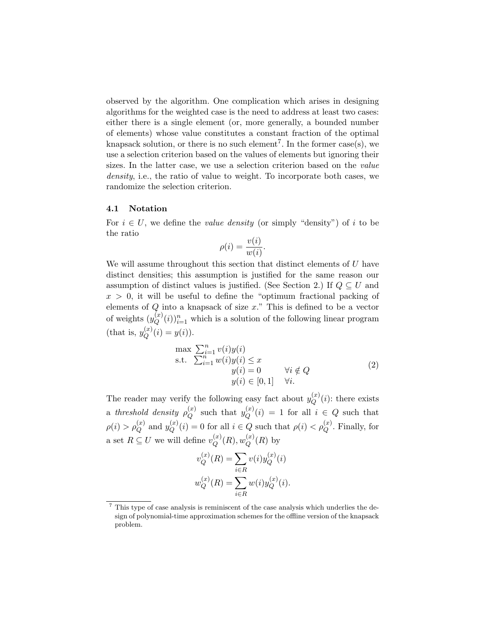observed by the algorithm. One complication which arises in designing algorithms for the weighted case is the need to address at least two cases: either there is a single element (or, more generally, a bounded number of elements) whose value constitutes a constant fraction of the optimal knapsack solution, or there is no such element<sup>7</sup>. In the former case(s), we use a selection criterion based on the values of elements but ignoring their sizes. In the latter case, we use a selection criterion based on the value density, i.e., the ratio of value to weight. To incorporate both cases, we randomize the selection criterion.

# 4.1 Notation

For  $i \in U$ , we define the *value density* (or simply "density") of i to be the ratio

$$
\rho(i) = \frac{v(i)}{w(i)}.
$$

We will assume throughout this section that distinct elements of U have distinct densities; this assumption is justified for the same reason our assumption of distinct values is justified. (See Section 2.) If  $Q \subseteq U$  and  $x > 0$ , it will be useful to define the "optimum fractional packing of elements of  $Q$  into a knapsack of size  $x$ ." This is defined to be a vector of weights  $(y_O^{(x)})$  $_Q^{(x)}(i)$ <sub> $i=1$ </sub> which is a solution of the following linear program (that is,  $y_O^{(x)}$ )  $Q^{(x)}(i) = y(i)).$ 

$$
\max \sum_{i=1}^{n} v(i)y(i)
$$
\n
$$
\text{s.t. } \sum_{i=1}^{n} w(i)y(i) \leq x
$$
\n
$$
y(i) = 0 \qquad \forall i \notin Q
$$
\n
$$
y(i) \in [0, 1] \qquad \forall i.
$$
\n
$$
(2)
$$

The reader may verify the following easy fact about  $y_O^{(x)}$  $Q^{(x)}(i)$ : there exists a threshold density  $\rho_O^{(x)}$  $\mathcal{L}_Q^{(x)}$  such that  $y_Q^{(x)}$  $Q^{(x)}(i) = 1$  for all  $i \in Q$  such that  $\rho(i) > \rho_Q^{(x)}$  and  $y_Q^{(x)}$  $Q_{Q}^{(x)}(i) = 0$  for all  $i \in Q$  such that  $\rho(i) < \rho_{Q}^{(x)}$ . Finally, for a set  $R \subseteq U$  we will define  $v_Q^{(x)}$  $\stackrel{(x)}{Q}(R), \stackrel{(x)}{w_Q^{(x)}}$  $Q^{(x)}(R)$  by

$$
v_Q^{(x)}(R) = \sum_{i \in R} v(i) y_Q^{(x)}(i)
$$
  

$$
w_Q^{(x)}(R) = \sum_{i \in R} w(i) y_Q^{(x)}(i).
$$

<sup>7</sup> This type of case analysis is reminiscent of the case analysis which underlies the design of polynomial-time approximation schemes for the offline version of the knapsack problem.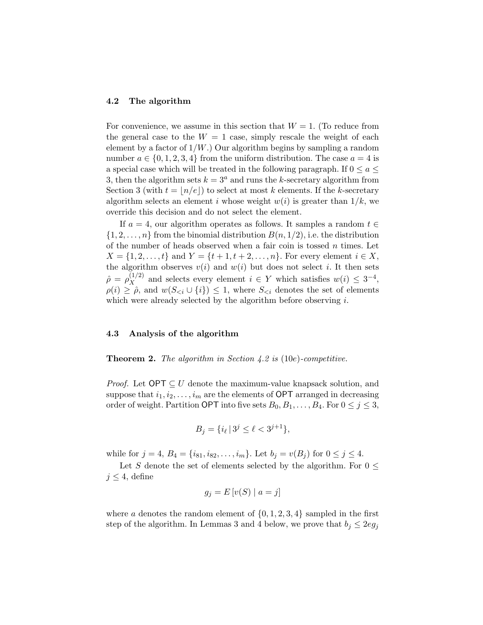#### 4.2 The algorithm

For convenience, we assume in this section that  $W = 1$ . (To reduce from the general case to the  $W = 1$  case, simply rescale the weight of each element by a factor of  $1/W$ .) Our algorithm begins by sampling a random number  $a \in \{0, 1, 2, 3, 4\}$  from the uniform distribution. The case  $a = 4$  is a special case which will be treated in the following paragraph. If  $0 \le a \le$ 3, then the algorithm sets  $k = 3<sup>a</sup>$  and runs the k-secretary algorithm from Section 3 (with  $t = |n/e|$ ) to select at most k elements. If the k-secretary algorithm selects an element i whose weight  $w(i)$  is greater than  $1/k$ , we override this decision and do not select the element.

If  $a = 4$ , our algorithm operates as follows. It samples a random  $t \in$  $\{1, 2, \ldots, n\}$  from the binomial distribution  $B(n, 1/2)$ , i.e. the distribution of the number of heads observed when a fair coin is tossed  $n$  times. Let  $X = \{1, 2, ..., t\}$  and  $Y = \{t + 1, t + 2, ..., n\}$ . For every element  $i \in X$ , the algorithm observes  $v(i)$  and  $w(i)$  but does not select i. It then sets  $\hat{\rho} = \rho_X^{(1/2)}$  and selects every element  $i \in Y$  which satisfies  $w(i) \leq 3^{-4}$ ,  $\rho(i) \geq \hat{\rho}$ , and  $w(S_{\leq i} \cup \{i\}) \leq 1$ , where  $S_{\leq i}$  denotes the set of elements which were already selected by the algorithm before observing i.

### 4.3 Analysis of the algorithm

**Theorem 2.** The algorithm in Section 4.2 is  $(10e)$ -competitive.

*Proof.* Let  $OPT \subseteq U$  denote the maximum-value knapsack solution, and suppose that  $i_1, i_2, \ldots, i_m$  are the elements of **OPT** arranged in decreasing order of weight. Partition OPT into five sets  $B_0, B_1, \ldots, B_4$ . For  $0 \le j \le 3$ ,

$$
B_j = \{ i_\ell \, | \, 3^j \le \ell < 3^{j+1} \},
$$

while for  $j = 4$ ,  $B_4 = \{i_{81}, i_{82}, \ldots, i_m\}$ . Let  $b_j = v(B_j)$  for  $0 \le j \le 4$ .

Let S denote the set of elements selected by the algorithm. For  $0 \leq$  $j \leq 4$ , define

$$
g_j = E[v(S) \mid a = j]
$$

where a denotes the random element of  $\{0, 1, 2, 3, 4\}$  sampled in the first step of the algorithm. In Lemmas 3 and 4 below, we prove that  $b_j \le 2eg_j$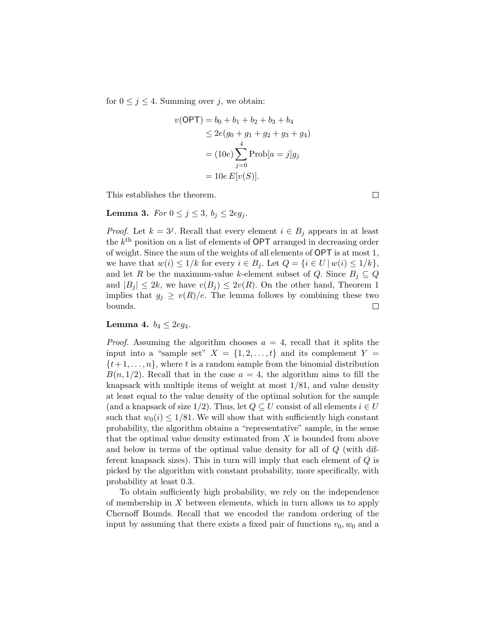for  $0 \leq j \leq 4$ . Summing over j, we obtain:

$$
v(OPT) = b_0 + b_1 + b_2 + b_3 + b_4
$$
  
\n
$$
\leq 2e(g_0 + g_1 + g_2 + g_3 + g_4)
$$
  
\n
$$
= (10e) \sum_{j=0}^{4} Prob[a = j]g_j
$$
  
\n
$$
= 10e E[v(S)].
$$

This establishes the theorem.

Lemma 3. For  $0 \leq j \leq 3$ ,  $b_j \leq 2eg_j$ .

*Proof.* Let  $k = 3^j$ . Recall that every element  $i \in B_j$  appears in at least the  $k<sup>th</sup>$  position on a list of elements of **OPT** arranged in decreasing order of weight. Since the sum of the weights of all elements of OPT is at most 1, we have that  $w(i) \leq 1/k$  for every  $i \in B_i$ . Let  $Q = \{i \in U \mid w(i) \leq 1/k\},\$ and let R be the maximum-value k-element subset of Q. Since  $B_j \subseteq Q$ and  $|B_i| \leq 2k$ , we have  $v(B_j) \leq 2v(R)$ . On the other hand, Theorem 1 implies that  $g_j \ge v(R)/e$ . The lemma follows by combining these two bounds. bounds.

Lemma 4.  $b_4 \leq 2eg_4$ .

*Proof.* Assuming the algorithm chooses  $a = 4$ , recall that it splits the input into a "sample set"  $X = \{1, 2, ..., t\}$  and its complement  $Y =$  $\{t+1,\ldots,n\}$ , where t is a random sample from the binomial distribution  $B(n, 1/2)$ . Recall that in the case  $a = 4$ , the algorithm aims to fill the knapsack with multiple items of weight at most  $1/81$ , and value density at least equal to the value density of the optimal solution for the sample (and a knapsack of size 1/2). Thus, let  $Q \subseteq U$  consist of all elements  $i \in U$ such that  $w_0(i) \leq 1/81$ . We will show that with sufficiently high constant probability, the algorithm obtains a "representative" sample, in the sense that the optimal value density estimated from  $X$  is bounded from above and below in terms of the optimal value density for all of Q (with different knapsack sizes). This in turn will imply that each element of  $Q$  is picked by the algorithm with constant probability, more specifically, with probability at least 0.3.

To obtain sufficiently high probability, we rely on the independence of membership in  $X$  between elements, which in turn allows us to apply Chernoff Bounds. Recall that we encoded the random ordering of the input by assuming that there exists a fixed pair of functions  $v_0$ ,  $w_0$  and a

 $\Box$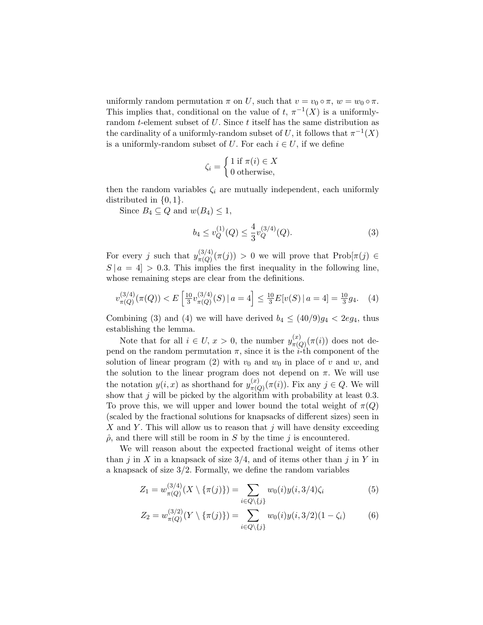uniformly random permutation  $\pi$  on U, such that  $v = v_0 \circ \pi$ ,  $w = w_0 \circ \pi$ . This implies that, conditional on the value of  $t, \pi^{-1}(X)$  is a uniformlyrandom  $t$ -element subset of  $U$ . Since  $t$  itself has the same distribution as the cardinality of a uniformly-random subset of U, it follows that  $\pi^{-1}(X)$ is a uniformly-random subset of U. For each  $i \in U$ , if we define

$$
\zeta_i = \begin{cases} 1 \text{ if } \pi(i) \in X \\ 0 \text{ otherwise,} \end{cases}
$$

then the random variables  $\zeta_i$  are mutually independent, each uniformly distributed in  $\{0,1\}$ .

Since  $B_4 \subseteq Q$  and  $w(B_4) \leq 1$ ,

$$
b_4 \le v_Q^{(1)}(Q) \le \frac{4}{3}v_Q^{(3/4)}(Q). \tag{3}
$$

For every j such that  $y_{\pi(Q)}^{(3/4)}$  $(\pi(Q)) \rightarrow 0$  we will prove that  $\text{Prob}[\pi(j)] \in \pi(Q)$  $S | a = 4 | > 0.3$ . This implies the first inequality in the following line, whose remaining steps are clear from the definitions.

$$
v_{\pi(Q)}^{(3/4)}(\pi(Q)) < E\left[\frac{10}{3}v_{\pi(Q)}^{(3/4)}(S) \,|\, a=4\right] \le \frac{10}{3}E[v(S) \,|\, a=4] = \frac{10}{3}g_4. \tag{4}
$$

Combining (3) and (4) we will have derived  $b_4 \leq (40/9)g_4 < 2eg_4$ , thus establishing the lemma.

Note that for all  $i \in U, x > 0$ , the number  $y_{\pi(\mathcal{C})}^{(x)}$  $\pi(Q)$ ( $\pi(i)$ ) does not depend on the random permutation  $\pi$ , since it is the *i*-th component of the solution of linear program (2) with  $v_0$  and  $w_0$  in place of v and w, and the solution to the linear program does not depend on  $\pi$ . We will use the notation  $y(i, x)$  as shorthand for  $y_{\pi(i)}^{(x)}$  $(\pi(\pi(i)))$ . Fix any  $j \in Q$ . We will show that  $j$  will be picked by the algorithm with probability at least 0.3. To prove this, we will upper and lower bound the total weight of  $\pi(Q)$ (scaled by the fractional solutions for knapsacks of different sizes) seen in X and Y. This will allow us to reason that  $j$  will have density exceeding  $\hat{\rho}$ , and there will still be room in S by the time j is encountered.

We will reason about the expected fractional weight of items other than j in X in a knapsack of size  $3/4$ , and of items other than j in Y in a knapsack of size 3/2. Formally, we define the random variables

$$
Z_1 = w_{\pi(Q)}^{(3/4)}(X \setminus \{\pi(j)\}) = \sum_{i \in Q \setminus \{j\}} w_0(i) y(i, 3/4) \zeta_i \tag{5}
$$

$$
Z_2 = w_{\pi(Q)}^{(3/2)}(Y \setminus \{\pi(j)\}) = \sum_{i \in Q \setminus \{j\}} w_0(i) y(i, 3/2)(1 - \zeta_i)
$$
(6)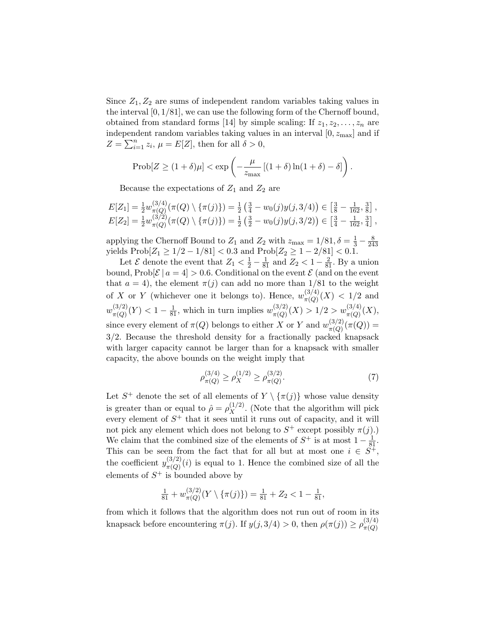Since  $Z_1, Z_2$  are sums of independent random variables taking values in the interval  $[0, 1/81]$ , we can use the following form of the Chernoff bound, obtained from standard forms [14] by simple scaling: If  $z_1, z_2, \ldots, z_n$  are independent random variables taking values in an interval  $[0, z_{\text{max}}]$  and if  $Z = \sum_{i=1}^{n} z_i$ ,  $\mu = E[Z]$ , then for all  $\delta > 0$ ,

$$
\mathrm{Prob}[Z \ge (1+\delta)\mu] < \exp\left(-\frac{\mu}{z_{\max}}\left[(1+\delta)\ln(1+\delta) - \delta\right]\right).
$$

Because the expectations of  $Z_1$  and  $Z_2$  are

$$
E[Z_1] = \frac{1}{2} w_{\pi(Q)}^{(3/4)}(\pi(Q) \setminus \{\pi(j)\}) = \frac{1}{2} \left(\frac{3}{4} - w_0(j)y(j,3/4)\right) \in \left[\frac{3}{8} - \frac{1}{162}, \frac{3}{8}\right],
$$
  
\n
$$
E[Z_2] = \frac{1}{2} w_{\pi(Q)}^{(3/2)}(\pi(Q) \setminus \{\pi(j)\}) = \frac{1}{2} \left(\frac{3}{2} - w_0(j)y(j,3/2)\right) \in \left[\frac{3}{4} - \frac{1}{162}, \frac{3}{4}\right],
$$

applying the Chernoff Bound to  $Z_1$  and  $Z_2$  with  $z_{\text{max}} = 1/81, \delta = \frac{1}{3} - \frac{8}{24}$ 243 yields  $Prob[Z_1 \geq 1/2 - 1/81]$  < 0.3 and  $Prob[Z_2 \geq 1 - 2/81]$  < 0.1.

Let  $\mathcal{E}$  denote the event that  $Z_1 < \frac{1}{2} - \frac{1}{81}$  and  $Z_2 < 1 - \frac{2}{81}$ . By a union bound,  $\text{Prob}[\mathcal{E} \mid a = 4] > 0.6$ . Conditional on the event  $\mathcal{E}$  (and on the event that  $a = 4$ , the element  $\pi(j)$  can add no more than 1/81 to the weight of X or Y (whichever one it belongs to). Hence,  $w_{\pi(Q)}^{(3/4)}$  $\frac{N^{(3/4)}(X)}{\pi(Q)}$  (X) < 1/2 and  $w_{\pi(Q)}^{(3/2)}$  $\frac{(3/2)}{\pi(Q)}(Y) < 1 - \frac{1}{81}$ , which in turn implies  $w_{\pi(Q)}^{(3/2)}$  $\frac{(3/2)}{\pi(Q)}(X) > 1/2 > w_{\pi(Q)}^{(3/4)}(X),$ since every element of  $\pi(Q)$  belongs to either X or Y and  $w_{\pi(Q)}^{(3/2)}$  $\pi(Q) (\pi(Q)) =$ 3/2. Because the threshold density for a fractionally packed knapsack with larger capacity cannot be larger than for a knapsack with smaller capacity, the above bounds on the weight imply that

$$
\rho_{\pi(Q)}^{(3/4)} \ge \rho_X^{(1/2)} \ge \rho_{\pi(Q)}^{(3/2)}.\tag{7}
$$

Let  $S^+$  denote the set of all elements of  $Y \setminus {\{\pi(j)\}}$  whose value density is greater than or equal to  $\hat{\rho} = \rho_X^{(1/2)}$ . (Note that the algorithm will pick every element of  $S^+$  that it sees until it runs out of capacity, and it will not pick any element which does not belong to  $S^+$  except possibly  $\pi(j)$ .) We claim that the combined size of the elements of  $S^+$  is at most  $1 - \frac{1}{8!}$ . This can be seen from the fact that for all but at most one  $i \in \overline{S^+}$ , the coefficient  $y_{\pi(D)}^{(3/2)}$  $\frac{\Gamma(\mathcal{O}/2)}{\pi(Q)}(i)$  is equal to 1. Hence the combined size of all the elements of  $S^+$  is bounded above by

$$
\frac{1}{81} + w_{\pi(Q)}^{(3/2)}(Y \setminus {\{\pi(j)\}}) = \frac{1}{81} + Z_2 < 1 - \frac{1}{81},
$$

from which it follows that the algorithm does not run out of room in its knapsack before encountering  $\pi(j)$ . If  $y(j, 3/4) > 0$ , then  $\rho(\pi(j)) \ge \rho_{\pi(Q)}^{(3/4)}$  $\pi(Q)$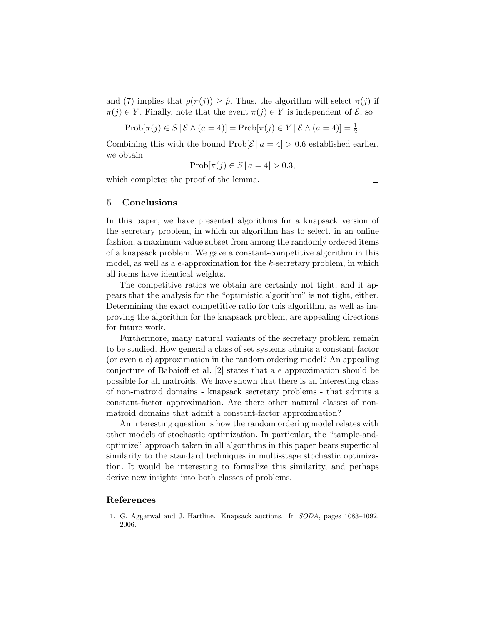and (7) implies that  $\rho(\pi(j)) \geq \hat{\rho}$ . Thus, the algorithm will select  $\pi(j)$  if  $\pi(j) \in Y$ . Finally, note that the event  $\pi(j) \in Y$  is independent of  $\mathcal{E}$ , so

$$
\mathrm{Prob}[\pi(j) \in S \,|\, \mathcal{E} \wedge (a=4)] = \mathrm{Prob}[\pi(j) \in Y \,|\, \mathcal{E} \wedge (a=4)] = \frac{1}{2}.
$$

Combining this with the bound  $\text{Prob}[\mathcal{E} | a = 4] > 0.6$  established earlier, we obtain

$$
Prob[\pi(j) \in S \, | \, a = 4] > 0.3,
$$

which completes the proof of the lemma.

5 Conclusions

In this paper, we have presented algorithms for a knapsack version of the secretary problem, in which an algorithm has to select, in an online fashion, a maximum-value subset from among the randomly ordered items of a knapsack problem. We gave a constant-competitive algorithm in this model, as well as a e-approximation for the k-secretary problem, in which all items have identical weights.

The competitive ratios we obtain are certainly not tight, and it appears that the analysis for the "optimistic algorithm" is not tight, either. Determining the exact competitive ratio for this algorithm, as well as improving the algorithm for the knapsack problem, are appealing directions for future work.

Furthermore, many natural variants of the secretary problem remain to be studied. How general a class of set systems admits a constant-factor (or even a e) approximation in the random ordering model? An appealing conjecture of Babaioff et al. [2] states that a e approximation should be possible for all matroids. We have shown that there is an interesting class of non-matroid domains - knapsack secretary problems - that admits a constant-factor approximation. Are there other natural classes of nonmatroid domains that admit a constant-factor approximation?

An interesting question is how the random ordering model relates with other models of stochastic optimization. In particular, the "sample-andoptimize" approach taken in all algorithms in this paper bears superficial similarity to the standard techniques in multi-stage stochastic optimization. It would be interesting to formalize this similarity, and perhaps derive new insights into both classes of problems.

### References

1. G. Aggarwal and J. Hartline. Knapsack auctions. In SODA, pages 1083–1092, 2006.

 $\Box$